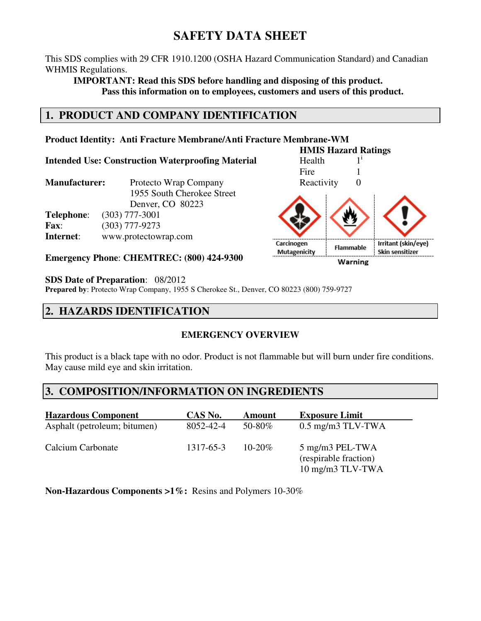# **SAFETY DATA SHEET**

This SDS complies with 29 CFR 1910.1200 (OSHA Hazard Communication Standard) and Canadian WHMIS Regulations.

**IMPORTANT: Read this SDS before handling and disposing of this product. Pass this information on to employees, customers and users of this product.** 

# **1. PRODUCT AND COMPANY IDENTIFICATION**

#### **Product Identity: Anti Fracture Membrane/Anti Fracture Membrane-WM**

**Intended Use: Construction Waterproofing Material** Health 1<sup>i</sup>

| <b>Manufacturer:</b> | Protecto Wrap Company      |
|----------------------|----------------------------|
|                      | 1955 South Cherokee Street |
|                      | Denver, CO 80223           |
| Telephone:           | $(303)$ 777-3001           |
| <b>Fax:</b>          | $(303)$ 777-9273           |
| Internet:            | www.protectowrap.com       |

**Emergency Phone**: **CHEMTREC: (800) 424-9300**

#### **SDS Date of Preparation**: 08/2012

**Prepared by**: Protecto Wrap Company, 1955 S Cherokee St., Denver, CO 80223 (800) 759-9727

# **2. HAZARDS IDENTIFICATION**

### **EMERGENCY OVERVIEW**

This product is a black tape with no odor. Product is not flammable but will burn under fire conditions. May cause mild eye and skin irritation.

# **3. COMPOSITION/INFORMATION ON INGREDIENTS**

| <b>Hazardous Component</b>   | CAS No.   | Amount      | <b>Exposure Limit</b>                                        |
|------------------------------|-----------|-------------|--------------------------------------------------------------|
| Asphalt (petroleum; bitumen) | 8052-42-4 | 50-80%      | $0.5$ mg/m $3$ TLV-TWA                                       |
| Calcium Carbonate            | 1317-65-3 | $10 - 20\%$ | 5 mg/m3 PEL-TWA<br>(respirable fraction)<br>10 mg/m3 TLV-TWA |

**Non-Hazardous Components >1%:** Resins and Polymers 10-30%

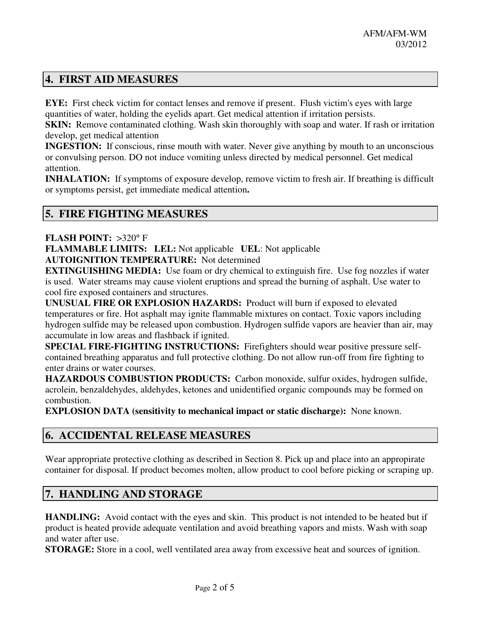# **4. FIRST AID MEASURES**

**EYE:** First check victim for contact lenses and remove if present. Flush victim's eyes with large quantities of water, holding the eyelids apart. Get medical attention if irritation persists.

**SKIN:** Remove contaminated clothing. Wash skin thoroughly with soap and water. If rash or irritation develop, get medical attention

**INGESTION:** If conscious, rinse mouth with water. Never give anything by mouth to an unconscious or convulsing person. DO not induce vomiting unless directed by medical personnel. Get medical attention.

**INHALATION:** If symptoms of exposure develop, remove victim to fresh air. If breathing is difficult or symptoms persist, get immediate medical attention**.** 

### **5. FIRE FIGHTING MEASURES**

**FLASH POINT:** >320° F

**FLAMMABLE LIMITS: LEL:** Not applicable **UEL**: Not applicable **AUTOIGNITION TEMPERATURE:** Not determined

**EXTINGUISHING MEDIA:** Use foam or dry chemical to extinguish fire. Use fog nozzles if water is used. Water streams may cause violent eruptions and spread the burning of asphalt. Use water to cool fire exposed containers and structures.

**UNUSUAL FIRE OR EXPLOSION HAZARDS:** Product will burn if exposed to elevated temperatures or fire. Hot asphalt may ignite flammable mixtures on contact. Toxic vapors including hydrogen sulfide may be released upon combustion. Hydrogen sulfide vapors are heavier than air, may accumulate in low areas and flashback if ignited.

**SPECIAL FIRE-FIGHTING INSTRUCTIONS:** Firefighters should wear positive pressure selfcontained breathing apparatus and full protective clothing. Do not allow run-off from fire fighting to enter drains or water courses.

**HAZARDOUS COMBUSTION PRODUCTS:** Carbon monoxide, sulfur oxides, hydrogen sulfide, acrolein, benzaldehydes, aldehydes, ketones and unidentified organic compounds may be formed on combustion.

**EXPLOSION DATA (sensitivity to mechanical impact or static discharge):** None known.

### **6. ACCIDENTAL RELEASE MEASURES**

Wear appropriate protective clothing as described in Section 8. Pick up and place into an appropirate container for disposal. If product becomes molten, allow product to cool before picking or scraping up.

### **7. HANDLING AND STORAGE**

**HANDLING:** Avoid contact with the eyes and skin. This product is not intended to be heated but if product is heated provide adequate ventilation and avoid breathing vapors and mists. Wash with soap and water after use.

**STORAGE:** Store in a cool, well ventilated area away from excessive heat and sources of ignition.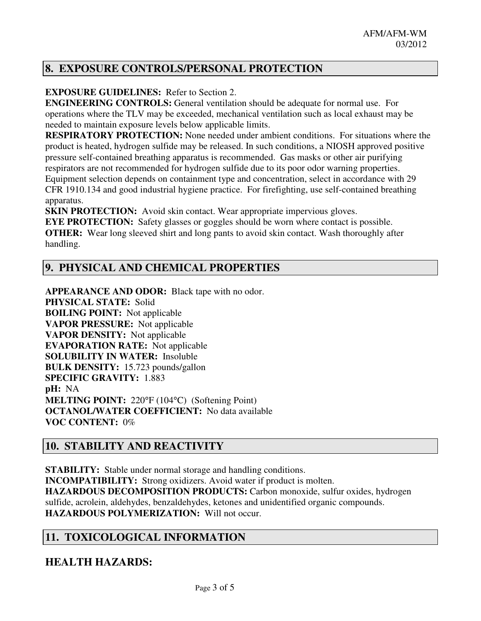# **8. EXPOSURE CONTROLS/PERSONAL PROTECTION**

### **EXPOSURE GUIDELINES:** Refer to Section 2.

**ENGINEERING CONTROLS:** General ventilation should be adequate for normal use. For operations where the TLV may be exceeded, mechanical ventilation such as local exhaust may be needed to maintain exposure levels below applicable limits.

**RESPIRATORY PROTECTION:** None needed under ambient conditions. For situations where the product is heated, hydrogen sulfide may be released. In such conditions, a NIOSH approved positive pressure self-contained breathing apparatus is recommended. Gas masks or other air purifying respirators are not recommended for hydrogen sulfide due to its poor odor warning properties. Equipment selection depends on containment type and concentration, select in accordance with 29

CFR 1910.134 and good industrial hygiene practice. For firefighting, use self-contained breathing apparatus.

**SKIN PROTECTION:** Avoid skin contact. Wear appropriate impervious gloves.

**EYE PROTECTION:** Safety glasses or goggles should be worn where contact is possible. **OTHER:** Wear long sleeved shirt and long pants to avoid skin contact. Wash thoroughly after handling.

# **9. PHYSICAL AND CHEMICAL PROPERTIES**

**APPEARANCE AND ODOR:** Black tape with no odor. **PHYSICAL STATE:** Solid **BOILING POINT:** Not applicable **VAPOR PRESSURE:** Not applicable **VAPOR DENSITY:** Not applicable **EVAPORATION RATE:** Not applicable **SOLUBILITY IN WATER:** Insoluble **BULK DENSITY:** 15.723 pounds/gallon **SPECIFIC GRAVITY:** 1.883 **pH:** NA **MELTING POINT:** 220°F (104°C) (Softening Point) **OCTANOL/WATER COEFFICIENT:** No data available **VOC CONTENT:** 0%

# **10. STABILITY AND REACTIVITY**

**STABILITY:** Stable under normal storage and handling conditions. **INCOMPATIBILITY:** Strong oxidizers. Avoid water if product is molten. **HAZARDOUS DECOMPOSITION PRODUCTS:** Carbon monoxide, sulfur oxides, hydrogen sulfide, acrolein, aldehydes, benzaldehydes, ketones and unidentified organic compounds. **HAZARDOUS POLYMERIZATION:** Will not occur.

# **11. TOXICOLOGICAL INFORMATION**

# **HEALTH HAZARDS:**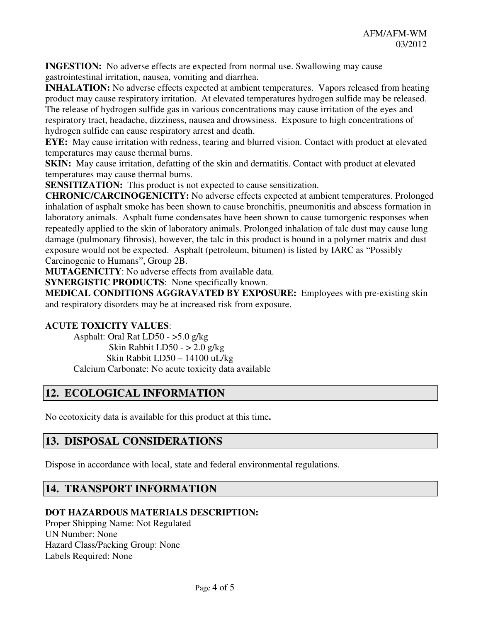**INGESTION:** No adverse effects are expected from normal use. Swallowing may cause gastrointestinal irritation, nausea, vomiting and diarrhea.

**INHALATION:** No adverse effects expected at ambient temperatures. Vapors released from heating product may cause respiratory irritation. At elevated temperatures hydrogen sulfide may be released.

The release of hydrogen sulfide gas in various concentrations may cause irritation of the eyes and respiratory tract, headache, dizziness, nausea and drowsiness. Exposure to high concentrations of hydrogen sulfide can cause respiratory arrest and death.

**EYE:** May cause irritation with redness, tearing and blurred vision. Contact with product at elevated temperatures may cause thermal burns.

**SKIN:** May cause irritation, defatting of the skin and dermatitis. Contact with product at elevated temperatures may cause thermal burns.

**SENSITIZATION:** This product is not expected to cause sensitization.

**CHRONIC/CARCINOGENICITY:** No adverse effects expected at ambient temperatures. Prolonged inhalation of asphalt smoke has been shown to cause bronchitis, pneumonitis and abscess formation in laboratory animals. Asphalt fume condensates have been shown to cause tumorgenic responses when repeatedly applied to the skin of laboratory animals. Prolonged inhalation of talc dust may cause lung damage (pulmonary fibrosis), however, the talc in this product is bound in a polymer matrix and dust exposure would not be expected. Asphalt (petroleum, bitumen) is listed by IARC as "Possibly Carcinogenic to Humans", Group 2B.

**MUTAGENICITY**: No adverse effects from available data.

**SYNERGISTIC PRODUCTS:** None specifically known.

**MEDICAL CONDITIONS AGGRAVATED BY EXPOSURE:** Employees with pre-existing skin and respiratory disorders may be at increased risk from exposure.

#### **ACUTE TOXICITY VALUES**:

 Asphalt: Oral Rat LD50 - >5.0 g/kg Skin Rabbit LD50 -  $> 2.0$  g/kg Skin Rabbit LD50 – 14100 uL/kg Calcium Carbonate: No acute toxicity data available

# **12. ECOLOGICAL INFORMATION**

No ecotoxicity data is available for this product at this time**.** 

# **13. DISPOSAL CONSIDERATIONS**

Dispose in accordance with local, state and federal environmental regulations.

### **14. TRANSPORT INFORMATION**

### **DOT HAZARDOUS MATERIALS DESCRIPTION:**

Proper Shipping Name: Not Regulated UN Number: None Hazard Class/Packing Group: None Labels Required: None